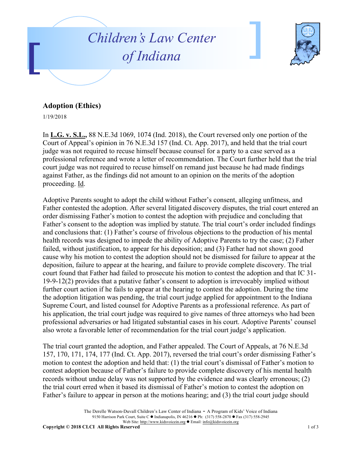



## **Adoption (Ethics)**

1/19/2018

In **L.G. v. S.L.,** 88 N.E.3d 1069, 1074 (Ind. 2018), the Court reversed only one portion of the Court of Appeal's opinion in 76 N.E.3d 157 (Ind. Ct. App. 2017), and held that the trial court judge was not required to recuse himself because counsel for a party to a case served as a professional reference and wrote a letter of recommendation. The Court further held that the trial court judge was not required to recuse himself on remand just because he had made findings against Father, as the findings did not amount to an opinion on the merits of the adoption proceeding. Id.

Adoptive Parents sought to adopt the child without Father's consent, alleging unfitness, and Father contested the adoption. After several litigated discovery disputes, the trial court entered an order dismissing Father's motion to contest the adoption with prejudice and concluding that Father's consent to the adoption was implied by statute. The trial court's order included findings and conclusions that: (1) Father's course of frivolous objections to the production of his mental health records was designed to impede the ability of Adoptive Parents to try the case; (2) Father failed, without justification, to appear for his deposition; and (3) Father had not shown good cause why his motion to contest the adoption should not be dismissed for failure to appear at the deposition, failure to appear at the hearing, and failure to provide complete discovery. The trial court found that Father had failed to prosecute his motion to contest the adoption and that IC 31- 19-9-12(2) provides that a putative father's consent to adoption is irrevocably implied without further court action if he fails to appear at the hearing to contest the adoption. During the time the adoption litigation was pending, the trial court judge applied for appointment to the Indiana Supreme Court, and listed counsel for Adoptive Parents as a professional reference. As part of his application, the trial court judge was required to give names of three attorneys who had been professional adversaries or had litigated substantial cases in his court. Adoptive Parents' counsel also wrote a favorable letter of recommendation for the trial court judge's application.

The trial court granted the adoption, and Father appealed. The Court of Appeals, at 76 N.E.3d 157, 170, 171, 174, 177 (Ind. Ct. App. 2017), reversed the trial court's order dismissing Father's motion to contest the adoption and held that: (1) the trial court's dismissal of Father's motion to contest adoption because of Father's failure to provide complete discovery of his mental health records without undue delay was not supported by the evidence and was clearly erroneous; (2) the trial court erred when it based its dismissal of Father's motion to contest the adoption on Father's failure to appear in person at the motions hearing; and (3) the trial court judge should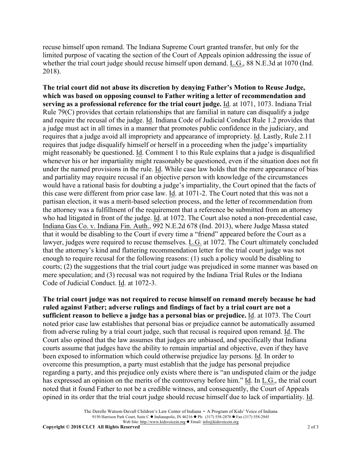recuse himself upon remand. The Indiana Supreme Court granted transfer, but only for the limited purpose of vacating the section of the Court of Appeals opinion addressing the issue of whether the trial court judge should recuse himself upon demand. L.G., 88 N.E.3d at 1070 (Ind. 2018).

**The trial court did not abuse its discretion by denying Father's Motion to Reuse Judge, which was based on opposing counsel to Father writing a letter of recommendation and serving as a professional reference for the trial court judge.** Id. at 1071, 1073. Indiana Trial Rule 79(C) provides that certain relationships that are familial in nature can disqualify a judge and require the recusal of the judge. Id. Indiana Code of Judicial Conduct Rule 1.2 provides that a judge must act in all times in a manner that promotes public confidence in the judiciary, and requires that a judge avoid all impropriety and appearance of impropriety. Id. Lastly, Rule 2.11 requires that judge disqualify himself or herself in a proceeding when the judge's impartiality might reasonably be questioned. Id. Comment 1 to this Rule explains that a judge is disqualified whenever his or her impartiality might reasonably be questioned, even if the situation does not fit under the named provisions in the rule. Id. While case law holds that the mere appearance of bias and partiality may require recusal if an objective person with knowledge of the circumstances would have a rational basis for doubting a judge's impartiality, the Court opined that the facts of this case were different from prior case law. Id. at 1071-2. The Court noted that this was not a partisan election, it was a merit-based selection process, and the letter of recommendation from the attorney was a fulfillment of the requirement that a reference be submitted from an attorney who had litigated in front of the judge. Id. at 1072. The Court also noted a non-precedential case, Indiana Gas Co. v. Indiana Fin. Auth., 992 N.E.2d 678 (Ind. 2013), where Judge Massa stated that it would be disabling to the Court if every time a "friend" appeared before the Court as a lawyer, judges were required to recuse themselves. L.G. at 1072. The Court ultimately concluded that the attorney's kind and flattering recommendation letter for the trial court judge was not enough to require recusal for the following reasons: (1) such a policy would be disabling to courts; (2) the suggestions that the trial court judge was prejudiced in some manner was based on mere speculation; and (3) recusal was not required by the Indiana Trial Rules or the Indiana Code of Judicial Conduct. Id. at 1072-3.

**The trial court judge was not required to recuse himself on remand merely because he had ruled against Father; adverse rulings and findings of fact by a trial court are not a sufficient reason to believe a judge has a personal bias or prejudice.** Id. at 1073. The Court noted prior case law establishes that personal bias or prejudice cannot be automatically assumed from adverse ruling by a trial court judge, such that recusal is required upon remand. Id. The Court also opined that the law assumes that judges are unbiased, and specifically that Indiana courts assume that judges have the ability to remain impartial and objective, even if they have been exposed to information which could otherwise prejudice lay persons. Id. In order to overcome this presumption, a party must establish that the judge has personal prejudice regarding a party, and this prejudice only exists where there is "an undisputed claim or the judge has expressed an opinion on the merits of the controversy before him." Id. In L.G., the trial court noted that it found Father to not be a credible witness, and consequently, the Court of Appeals opined in its order that the trial court judge should recuse himself due to lack of impartiality. Id.